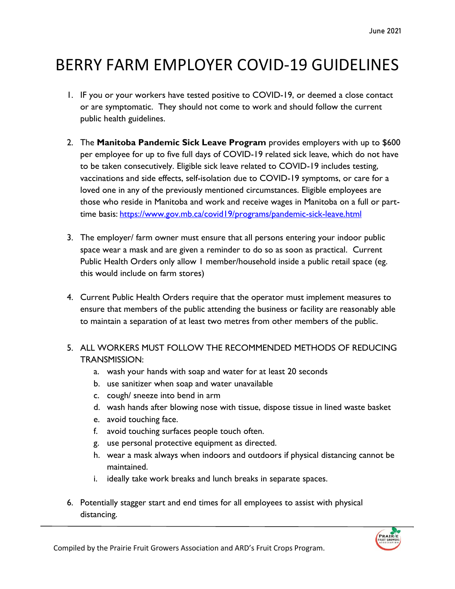## BERRY FARM EMPLOYER COVID-19 GUIDELINES

- 1. IF you or your workers have tested positive to COVID-19, or deemed a close contact or are symptomatic. They should not come to work and should follow the current public health guidelines.
- 2. The **Manitoba Pandemic Sick Leave Program** provides employers with up to \$600 per employee for up to five full days of COVID-19 related sick leave, which do not have to be taken consecutively. Eligible sick leave related to COVID-19 includes testing, vaccinations and side effects, self-isolation due to COVID-19 symptoms, or care for a loved one in any of the previously mentioned circumstances. Eligible employees are those who reside in Manitoba and work and receive wages in Manitoba on a full or parttime basis: <https://www.gov.mb.ca/covid19/programs/pandemic-sick-leave.html>
- 3. The employer/ farm owner must ensure that all persons entering your indoor public space wear a mask and are given a reminder to do so as soon as practical. Current Public Health Orders only allow 1 member/household inside a public retail space (eg. this would include on farm stores)
- 4. Current Public Health Orders require that the operator must implement measures to ensure that members of the public attending the business or facility are reasonably able to maintain a separation of at least two metres from other members of the public.
- 5. ALL WORKERS MUST FOLLOW THE RECOMMENDED METHODS OF REDUCING TRANSMISSION:
	- a. wash your hands with soap and water for at least 20 seconds
	- b. use sanitizer when soap and water unavailable
	- c. cough/ sneeze into bend in arm
	- d. wash hands after blowing nose with tissue, dispose tissue in lined waste basket
	- e. avoid touching face.
	- f. avoid touching surfaces people touch often.
	- g. use personal protective equipment as directed.
	- h. wear a mask always when indoors and outdoors if physical distancing cannot be maintained.
	- i. ideally take work breaks and lunch breaks in separate spaces.
- 6. Potentially stagger start and end times for all employees to assist with physical distancing.